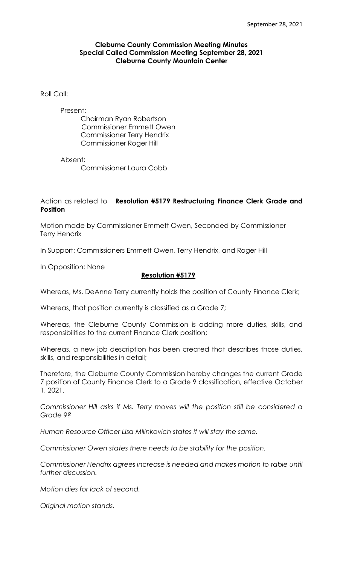### **Cleburne County Commission Meeting Minutes Special Called Commission Meeting September 28, 2021 Cleburne County Mountain Center**

Roll Call:

#### Present:

Chairman Ryan Robertson Commissioner Emmett Owen Commissioner Terry Hendrix Commissioner Roger Hill

Absent:

Commissioner Laura Cobb

## Action as related to **Resolution #5179 Restructuring Finance Clerk Grade and Position**

Motion made by Commissioner Emmett Owen, Seconded by Commissioner Terry Hendrix

In Support: Commissioners Emmett Owen, Terry Hendrix, and Roger Hill

In Opposition: None

### **Resolution #5179**

Whereas, Ms. DeAnne Terry currently holds the position of County Finance Clerk;

Whereas, that position currently is classified as a Grade 7;

Whereas, the Cleburne County Commission is adding more duties, skills, and responsibilities to the current Finance Clerk position;

Whereas, a new job description has been created that describes those duties, skills, and responsibilities in detail;

Therefore, the Cleburne County Commission hereby changes the current Grade 7 position of County Finance Clerk to a Grade 9 classification, effective October 1, 2021.

*Commissioner Hill asks if Ms. Terry moves will the position still be considered a Grade 9?*

*Human Resource Officer Lisa Milinkovich states it will stay the same.*

*Commissioner Owen states there needs to be stability for the position.*

*Commissioner Hendrix agrees increase is needed and makes motion to table until further discussion.*

*Motion dies for lack of second.*

*Original motion stands.*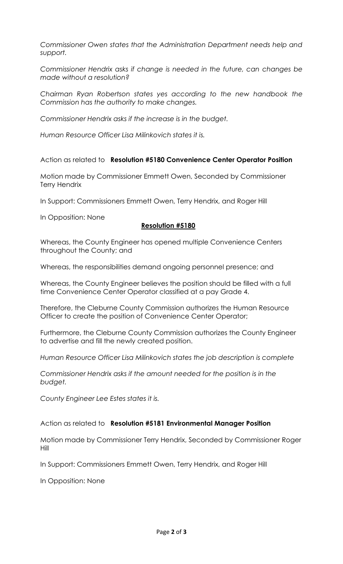*Commissioner Owen states that the Administration Department needs help and support.*

*Commissioner Hendrix asks if change is needed in the future, can changes be made without a resolution?*

*Chairman Ryan Robertson states yes according to the new handbook the Commission has the authority to make changes.*

*Commissioner Hendrix asks if the increase is in the budget.*

*Human Resource Officer Lisa Milinkovich states it is.*

Action as related to **Resolution #5180 Convenience Center Operator Position**

Motion made by Commissioner Emmett Owen, Seconded by Commissioner Terry Hendrix

In Support: Commissioners Emmett Owen, Terry Hendrix, and Roger Hill

In Opposition: None

## **Resolution #5180**

Whereas, the County Engineer has opened multiple Convenience Centers throughout the County; and

Whereas, the responsibilities demand ongoing personnel presence; and

Whereas, the County Engineer believes the position should be filled with a full time Convenience Center Operator classified at a pay Grade 4.

Therefore, the Cleburne County Commission authorizes the Human Resource Officer to create the position of Convenience Center Operator;

Furthermore, the Cleburne County Commission authorizes the County Engineer to advertise and fill the newly created position.

*Human Resource Officer Lisa Milinkovich states the job description is complete*

*Commissioner Hendrix asks if the amount needed for the position is in the budget.*

*County Engineer Lee Estes states it is.*

Action as related to **Resolution #5181 Environmental Manager Position**

Motion made by Commissioner Terry Hendrix, Seconded by Commissioner Roger Hill

In Support: Commissioners Emmett Owen, Terry Hendrix, and Roger Hill

In Opposition: None